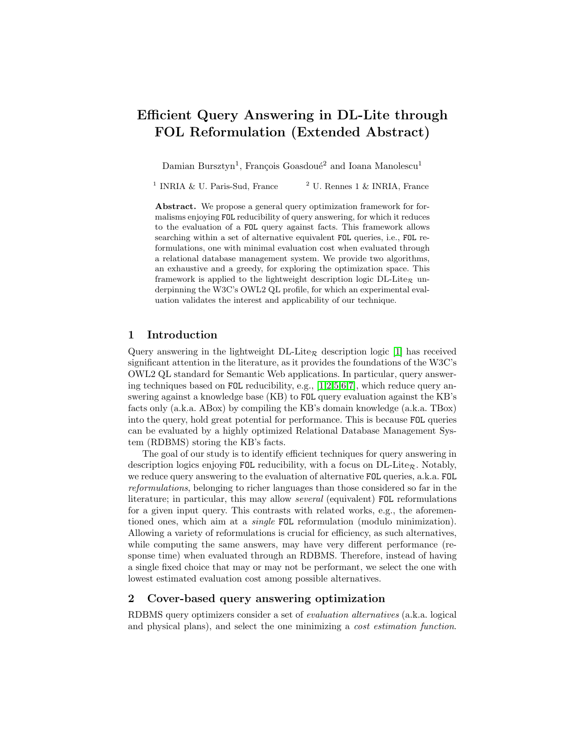# Efficient Query Answering in DL-Lite through FOL Reformulation (Extended Abstract)

Damian Bursztyn<sup>1</sup>, François Goasdoué<sup>2</sup> and Ioana Manolescu<sup>1</sup>

<sup>1</sup> INRIA & U. Paris-Sud, France  $1 \& NRIA, France$ 

Abstract. We propose a general query optimization framework for formalisms enjoying FOL reducibility of query answering, for which it reduces to the evaluation of a FOL query against facts. This framework allows searching within a set of alternative equivalent FOL queries, i.e., FOL reformulations, one with minimal evaluation cost when evaluated through a relational database management system. We provide two algorithms, an exhaustive and a greedy, for exploring the optimization space. This framework is applied to the lightweight description logic  $DL\text{-}Life_{\mathcal{R}}$  underpinning the W3C's OWL2 QL profile, for which an experimental evaluation validates the interest and applicability of our technique.

#### 1 Introduction

Query answering in the lightweight  $DL\text{-}Life_{\mathcal{R}}$  description logic [\[1\]](#page-3-0) has received significant attention in the literature, as it provides the foundations of the W3C's OWL2 QL standard for Semantic Web applications. In particular, query answering techniques based on FOL reducibility, e.g., [\[1,](#page-3-0)[2,](#page-3-1)[5](#page-3-2)[,6,](#page-3-3)[7\]](#page-3-4), which reduce query answering against a knowledge base (KB) to FOL query evaluation against the KB's facts only (a.k.a. ABox) by compiling the KB's domain knowledge (a.k.a. TBox) into the query, hold great potential for performance. This is because FOL queries can be evaluated by a highly optimized Relational Database Management System (RDBMS) storing the KB's facts.

The goal of our study is to identify efficient techniques for query answering in description logics enjoying FOL reducibility, with a focus on  $DL\text{-}Lie_R$ . Notably, we reduce query answering to the evaluation of alternative FOL queries, a.k.a. FOL reformulations, belonging to richer languages than those considered so far in the literature; in particular, this may allow several (equivalent) FOL reformulations for a given input query. This contrasts with related works, e.g., the aforementioned ones, which aim at a single FOL reformulation (modulo minimization). Allowing a variety of reformulations is crucial for efficiency, as such alternatives, while computing the same answers, may have very different performance (response time) when evaluated through an RDBMS. Therefore, instead of having a single fixed choice that may or may not be performant, we select the one with lowest estimated evaluation cost among possible alternatives.

#### 2 Cover-based query answering optimization

RDBMS query optimizers consider a set of evaluation alternatives (a.k.a. logical and physical plans), and select the one minimizing a cost estimation function.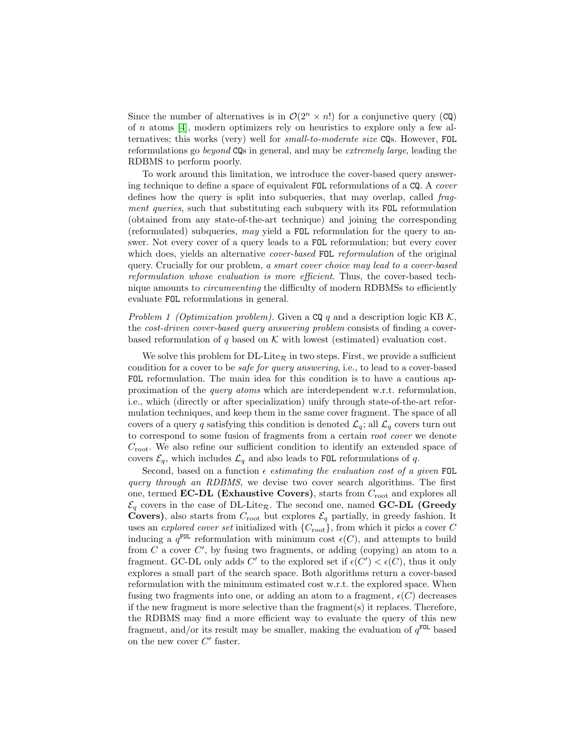Since the number of alternatives is in  $\mathcal{O}(2^n \times n!)$  for a conjunctive query (CQ) of n atoms [\[4\]](#page-3-5), modern optimizers rely on heuristics to explore only a few alternatives; this works (very) well for small-to-moderate size CQs. However, FOL reformulations go beyond CQs in general, and may be extremely large, leading the RDBMS to perform poorly.

To work around this limitation, we introduce the cover-based query answering technique to define a space of equivalent FOL reformulations of a CQ. A cover defines how the query is split into subqueries, that may overlap, called fragment queries, such that substituting each subquery with its FOL reformulation (obtained from any state-of-the-art technique) and joining the corresponding (reformulated) subqueries, may yield a FOL reformulation for the query to answer. Not every cover of a query leads to a FOL reformulation; but every cover which does, yields an alternative *cover-based* FOL reformulation of the original query. Crucially for our problem, a smart cover choice may lead to a cover-based reformulation whose evaluation is more efficient. Thus, the cover-based technique amounts to circumventing the difficulty of modern RDBMSs to efficiently evaluate FOL reformulations in general.

Problem 1 (Optimization problem). Given a  $CQq$  and a description logic KB K, the cost-driven cover-based query answering problem consists of finding a coverbased reformulation of q based on  $K$  with lowest (estimated) evaluation cost.

We solve this problem for  $DL\text{-}Life_{\mathcal{R}}$  in two steps. First, we provide a sufficient condition for a cover to be safe for query answering, i.e., to lead to a cover-based FOL reformulation. The main idea for this condition is to have a cautious approximation of the query atoms which are interdependent w.r.t. reformulation, i.e., which (directly or after specialization) unify through state-of-the-art reformulation techniques, and keep them in the same cover fragment. The space of all covers of a query q satisfying this condition is denoted  $\mathcal{L}_q$ ; all  $\mathcal{L}_q$  covers turn out to correspond to some fusion of fragments from a certain root cover we denote  $C_{\text{root}}$ . We also refine our sufficient condition to identify an extended space of covers  $\mathcal{E}_q$ , which includes  $\mathcal{L}_q$  and also leads to FOL reformulations of q.

Second, based on a function  $\epsilon$  estimating the evaluation cost of a given FOL query through an RDBMS, we devise two cover search algorithms. The first one, termed **EC-DL** (Exhaustive Covers), starts from  $C_{\text{root}}$  and explores all  $\mathcal{E}_q$  covers in the case of DL-Lite<sub>R</sub>. The second one, named **GC-DL** (Greedy **Covers)**, also starts from  $C_{\text{root}}$  but explores  $\mathcal{E}_q$  partially, in greedy fashion. It uses an explored cover set initialized with  $\{C_{\text{root}}\}$ , from which it picks a cover C inducing a  $q^{\text{FOL}}$  reformulation with minimum cost  $\epsilon(C)$ , and attempts to build from  $C$  a cover  $C'$ , by fusing two fragments, or adding (copying) an atom to a fragment. GC-DL only adds C' to the explored set if  $\epsilon(C') < \epsilon(C)$ , thus it only explores a small part of the search space. Both algorithms return a cover-based reformulation with the minimum estimated cost w.r.t. the explored space. When fusing two fragments into one, or adding an atom to a fragment,  $\epsilon(C)$  decreases if the new fragment is more selective than the fragment $(s)$  it replaces. Therefore, the RDBMS may find a more efficient way to evaluate the query of this new fragment, and/or its result may be smaller, making the evaluation of  $q^{\text{FOL}}$  based on the new cover  $C'$  faster.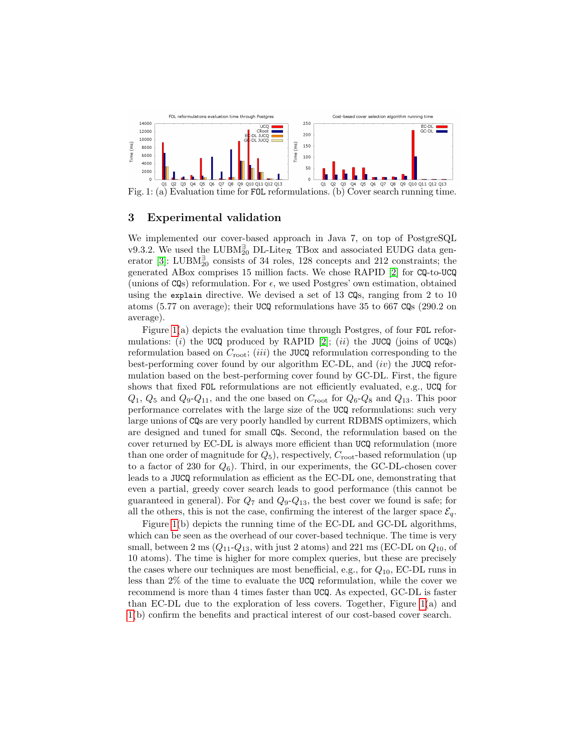<span id="page-2-0"></span>

Fig. 1: (a) Evaluation time for FOL reformulations. (b) Cover search running time.

### 3 Experimental validation

We implemented our cover-based approach in Java 7, on top of PostgreSQL v9.3.2. We used the LUBM<sup> $_2$ </sup><sub>0</sub> DL-Lite<sub>R</sub> TBox and associated EUDG data gen-erator [\[3\]](#page-3-6): LUBM $_{20}^{\exists}$  consists of 34 roles, 128 concepts and 212 constraints; the generated ABox comprises 15 million facts. We chose RAPID [\[2\]](#page-3-1) for CQ-to-UCQ (unions of  $CQs$ ) reformulation. For  $\epsilon$ , we used Postgres' own estimation, obtained using the explain directive. We devised a set of 13 CQs, ranging from 2 to 10 atoms (5.77 on average); their UCQ reformulations have 35 to 667 CQs (290.2 on average).

Figure [1\(](#page-2-0)a) depicts the evaluation time through Postgres, of four FOL refor-mulations: (i) the UCQ produced by RAPID [\[2\]](#page-3-1); (ii) the JUCQ (joins of UCQs) reformulation based on  $C_{\text{root}}$ ; (*iii*) the JUCQ reformulation corresponding to the best-performing cover found by our algorithm EC-DL, and  $(iv)$  the JUCQ reformulation based on the best-performing cover found by GC-DL. First, the figure shows that fixed FOL reformulations are not efficiently evaluated, e.g., UCQ for  $Q_1$ ,  $Q_5$  and  $Q_9$ - $Q_{11}$ , and the one based on  $C_{\text{root}}$  for  $Q_6$ - $Q_8$  and  $Q_{13}$ . This poor performance correlates with the large size of the UCQ reformulations: such very large unions of CQs are very poorly handled by current RDBMS optimizers, which are designed and tuned for small CQs. Second, the reformulation based on the cover returned by EC-DL is always more efficient than UCQ reformulation (more than one order of magnitude for  $Q_5$ ), respectively,  $C_{\text{root}}$ -based reformulation (up to a factor of 230 for  $Q_6$ ). Third, in our experiments, the GC-DL-chosen cover leads to a JUCQ reformulation as efficient as the EC-DL one, demonstrating that even a partial, greedy cover search leads to good performance (this cannot be guaranteed in general). For  $Q_7$  and  $Q_9 - Q_{13}$ , the best cover we found is safe; for all the others, this is not the case, confirming the interest of the larger space  $\mathcal{E}_q$ .

Figure [1\(](#page-2-0)b) depicts the running time of the EC-DL and GC-DL algorithms, which can be seen as the overhead of our cover-based technique. The time is very small, between 2 ms  $(Q_{11}-Q_{13}$ , with just 2 atoms) and 221 ms (EC-DL on  $Q_{10}$ , of 10 atoms). The time is higher for more complex queries, but these are precisely the cases where our techniques are most benefficial, e.g., for  $Q_{10}$ , EC-DL runs in less than 2% of the time to evaluate the UCQ reformulation, while the cover we recommend is more than 4 times faster than UCQ. As expected, GC-DL is faster than EC-DL due to the exploration of less covers. Together, Figure  $1(a)$  and [1\(](#page-2-0)b) confirm the benefits and practical interest of our cost-based cover search.